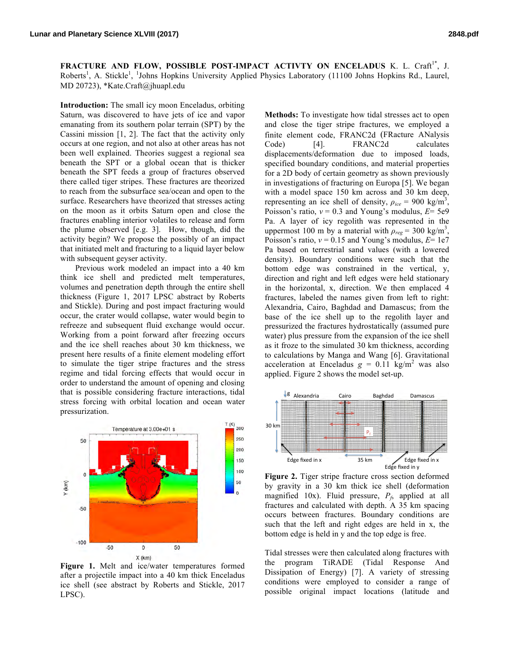**FRACTURE AND FLOW, POSSIBLE POST-IMPACT ACTIVTY ON ENCELADUS K. L. Craft<sup>1\*</sup>, J.** Roberts<sup>1</sup>, A. Stickle<sup>1</sup>, <sup>1</sup>Johns Hopkins University Applied Physics Laboratory (11100 Johns Hopkins Rd., Laurel, MD 20723), \*Kate.Craft@jhuapl.edu

**Introduction:** The small icy moon Enceladus, orbiting Saturn, was discovered to have jets of ice and vapor emanating from its southern polar terrain (SPT) by the Cassini mission [1, 2]. The fact that the activity only occurs at one region, and not also at other areas has not been well explained. Theories suggest a regional sea beneath the SPT or a global ocean that is thicker beneath the SPT feeds a group of fractures observed there called tiger stripes. These fractures are theorized to reach from the subsurface sea/ocean and open to the surface. Researchers have theorized that stresses acting on the moon as it orbits Saturn open and close the fractures enabling interior volatiles to release and form the plume observed [e.g. 3]. How, though, did the activity begin? We propose the possibly of an impact that initiated melt and fracturing to a liquid layer below with subsequent geyser activity.

Previous work modeled an impact into a 40 km think ice shell and predicted melt temperatures, volumes and penetration depth through the entire shell thickness (Figure 1, 2017 LPSC abstract by Roberts and Stickle). During and post impact fracturing would occur, the crater would collapse, water would begin to refreeze and subsequent fluid exchange would occur. Working from a point forward after freezing occurs and the ice shell reaches about 30 km thickness, we present here results of a finite element modeling effort to simulate the tiger stripe fractures and the stress regime and tidal forcing effects that would occur in order to understand the amount of opening and closing that is possible considering fracture interactions, tidal stress forcing with orbital location and ocean water pressurization.



**Figure 1.** Melt and ice/water temperatures formed after a projectile impact into a 40 km thick Enceladus ice shell (see abstract by Roberts and Stickle, 2017 LPSC).

**Methods:** To investigate how tidal stresses act to open and close the tiger stripe fractures, we employed a finite element code, FRANC2d (FRacture ANalysis Code) [4]. FRANC2d calculates displacements/deformation due to imposed loads, specified boundary conditions, and material properties for a 2D body of certain geometry as shown previously in investigations of fracturing on Europa [5]. We began with a model space 150 km across and 30 km deep, representing an ice shell of density,  $\rho_{ice} = 900 \text{ kg/m}^3$ , Poisson's ratio, *ν* = 0.3 and Young's modulus, *E*= 5e9 Pa. A layer of icy regolith was represented in the uppermost 100 m by a material with  $\rho_{reg} = 300 \text{ kg/m}^3$ , Poisson's ratio, *ν* = 0.15 and Young's modulus, *E*= 1e7 Pa based on terrestrial sand values (with a lowered density). Boundary conditions were such that the bottom edge was constrained in the vertical, y, direction and right and left edges were held stationary in the horizontal, x, direction. We then emplaced 4 fractures, labeled the names given from left to right: Alexandria, Cairo, Baghdad and Damascus; from the base of the ice shell up to the regolith layer and pressurized the fractures hydrostatically (assumed pure water) plus pressure from the expansion of the ice shell as it froze to the simulated 30 km thickness, according to calculations by Manga and Wang [6]. Gravitational acceleration at Enceladus  $g = 0.11 \text{ kg/m}^2$  was also applied. Figure 2 shows the model set-up.



**Figure 2.** Tiger stripe fracture cross section deformed by gravity in a 30 km thick ice shell (deformation magnified 10x). Fluid pressure,  $P_f$ , applied at all fractures and calculated with depth. A 35 km spacing occurs between fractures. Boundary conditions are such that the left and right edges are held in x, the bottom edge is held in y and the top edge is free.

Tidal stresses were then calculated along fractures with the program TiRADE (Tidal Response And Dissipation of Energy) [7]. A variety of stressing conditions were employed to consider a range of possible original impact locations (latitude and